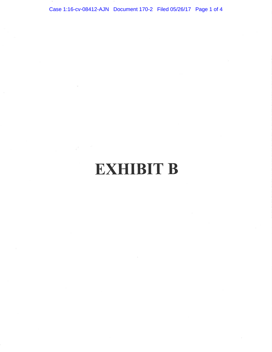Case 1:16-cv-08412-AJN Document 170-2 Filed 05/26/17 Page 1 of 4

# **EXHIBIT B**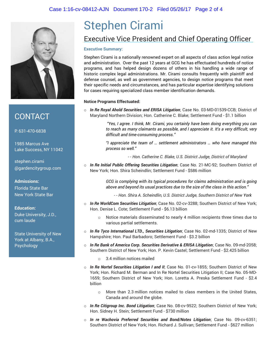

### **CONTACT**

P: 631-470-6838

1985 Marcus Ave Lake Success, NY 11042

stephen.cirami @gardencitygroup.com

**Admissions:** Florida State Bar New York State Bar

**Education:** Duke University, J.D., cum laude

State University of New York at Albany, B.A., Psychology

## Stephen Cirami Executive Vice President and Chief Operating Officer

#### **Executive Summary:**

Stephen Cirami is a nationally renowned expert on all aspects of class action legal notice and administration. Over the past 12 years at GCG he has effectuated hundreds of notice programs, and has helped design dozens of others in his handling a wide range of historic complex legal administrations. Mr. Cirami consults frequently with plaintiff and defense counsel, as well as government agencies, to design notice programs that meet their specific needs and circumstances, and has particular expertise identifying solutions for cases requiring specialized class member identification demands.

#### **Notice Programs Effectuated:**

o *In Re Royal Ahold Securities and ERISA Litigation*; Case No. 03-MD-01539-CCB; District of Maryland Northern Division; Hon. Catherine C. Blake; Settlement Fund - \$1.1 billion

> *"Yes, I agree. I think, Mr. Cirami, you certainly have been doing everything you can to reach as many claimants as possible, and I appreciate it. It's a very difficult, very difficult and time-consuming process."*

> *"I appreciate the team of … settlement administrators … who have managed this process so well."*

> > - - *Hon. Catherine C. Blake, U.S. District Judge, District of Maryland*

o *In Re Initial Public Offering Securities Litigation*; Case No. 21-MC-92; Southern District of New York; Hon. Shira Scheindlin; Settlement Fund - \$586 million

> *GCG is complying with its typical procedures for claims administration and is going above and beyond its usual practices due to the size of the class in this action."*

- - *Hon. Shira A. Scheindlin, U.S. District Judge, Southern District of New York* 

- o *In Re WorldCom Securities Litigation*; Case No. 02-cv-3288; Southern District of New York; Hon. Denise L. Cote; Settlement Fund - \$6.13 billion
	- o Notice materials disseminated to nearly 4 million recipients three times due to various partial settlements.
- o *In Re Tyco International LTD., Securities Litigation*; Case No. 02-md-1335; District of New Hampshire; Hon. Paul Barbadoro; Settlement Fund - \$3.2 billion
- o *In Re Bank of America Corp. Securities Derivative & ERISA Litigation*; Case No. 09-md-2058; Southern District of New York; Hon. P. Kevin Castel; Settlement Fund - \$2.425 billion
	- o 3.4 million notices mailed
- o *In Re Nortel Securities Litigation I and II*; Case No. 01-cv-1855; Southern District of New York; Hon. Richard M. Berman and In Re Nortel Securities Litigation II; Case No. 05-MD-1659; Southern District of New York; Hon. Loretta A. Preska Settlement Fund - \$2.4 billion
	- $\circ$  More than 2.3 million notices mailed to class members in the United States. Canada and around the globe.
- o *In Re Citigroup Inc. Bond Litigation*; Case No. 08-cv-9522; Southern District of New York; Hon. Sidney H. Stein; Settlement Fund - \$730 million
- o *In re Wachovia Preferred Securities and Bond/Notes Litigation*; Case No. 09-cv-6351; Southern District of New York; Hon. Richard J. Sullivan; Settlement Fund - \$627 million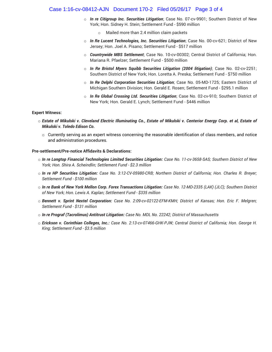#### Case 1:16-cv-08412-AJN Document 170-2 Filed 05/26/17 Page 3 of 4

- o *In re Citigroup Inc. Securities Litigation*; Case No. 07-cv-9901; Southern District of New York; Hon. Sidney H. Stein; Settlement Fund - \$590 million
	- Mailed more than 2.4 million claim packets
- o *In Re Lucent Technologies, Inc. Securities Litigation*; Case No. 00-cv-621; District of New Jersey; Hon. Joel A. Pisano; Settlement Fund - \$517 million
- o *Countrywide MBS Settlement*; Case No. 10-cv-00302; Central District of California; Hon. Mariana R. Pfaelzer; Settlement Fund - \$500 million
- o *In Re Bristol Myers Squibb Securities Litigation (2004 litigation)*; Case No. 02-cv-2251; Southern District of New York; Hon. Loretta A. Preska; Settlement Fund - \$750 million
- o *In Re Delphi Corporation Securities Litigation*; Case No. 05-MD-1725; Eastern District of Michigan Southern Division; Hon. Gerald E. Rosen; Settlement Fund - \$295.1 million
- o *In Re Global Crossing Ltd. Securities Litigation*; Case No. 02-cv-910; Southern District of New York; Hon. Gerald E. Lynch; Settlement Fund - \$446 million

#### **Expert Witness:**

- o *Estate of Mikulski v. Cleveland Electric Illuminating Co., Estate of Mikulski v. Centerior Energy Corp. et al, Estate of Mikulski v. Toledo Edison Co.* 
	- $\circ$  Currently serving as an expert witness concerning the reasonable identification of class members, and notice and administration procedures.

#### **Pre-settlement/Pre-notice Affidavits & Declarations:**

- o *In re Longtop Financial Technologies Limited Securities Litigation: Case No. 11-cv-3658-SAS; Southern District of New York; Hon. Shira A. Scheindlin; Settlement Fund - \$2.3 million*
- o *In re HP Securities Litigation: Case No. 3:12-CV-05980-CRB; Northern District of California; Hon. Charles R. Breyer; Settlement Fund - \$100 million*
- o *In re Bank of New York Mellon Corp. Forex Transactions Litigation: Case No. 12-MD-2335 (LAK) (JLC); Southern District of New York; Hon. Lewis A. Kaplan; Settlement Fund - \$335 million*
- o *Bennett v. Sprint Nextel Corporation: Case No. 2:09-cv-02122-EFM-KMH; District of Kansas; Hon. Eric F. Melgren; Settlement Fund - \$131 million*
- o *In re Prograf (Tacrolimus) Antitrust Litigation: Case No. MDL No. 22242; District of Massachusetts*
- o *Erickson v. Corinthian Colleges, Inc.: Case No. 2:13-cv-07466-GHK-PJW; Central District of California; Hon. George H. King; Settlement Fund - \$3.5 million*